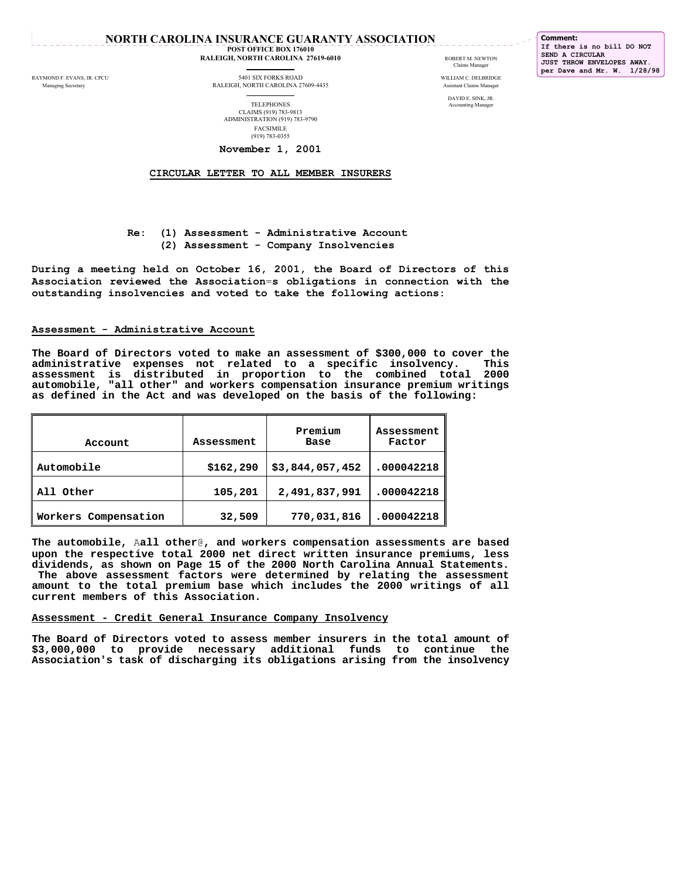# **NORTH CAROLINA INSURANCE GUARANTY ASSOCIATION**

 **POST OFFICE BOX 176010 RALEIGH, NORTH CAROLINA 27619-6010 RALEIGH, NORTH CAROLINA 27619-6010 RALEIGH**, NEWTON

Claims Manager

**Comment: If there is no bill DO NOT SEND A CIRCULAR JUST THROW ENVELOPES AWAY. per Dave and Mr. W. 1/28/98**

RAYMOND F. EVANS, JR. CPCU 5401 SIX FORKS ROAD WILLIAM C. DELBRIDGE

 Managing Secretary RALEIGH, NORTH CAROLINA 27609-4435 Assistant Claims Manager DAVID E. SINK, JR. TELEPHONES Accounting Manager CLAIMS (919) 783-9813 ADMINISTRATION (919) 783-9790 FACSIMILE (919) 783-0355

# **November 1, 2001**

 **CIRCULAR LETTER TO ALL MEMBER INSURERS**

# **Re: (1) Assessment - Administrative Account (2) Assessment - Company Insolvencies**

**During a meeting held on October 16, 2001, the Board of Directors of this Association reviewed the Association**=**s obligations in connection with the outstanding insolvencies and voted to take the following actions:** 

# **Assessment - Administrative Account**

**The Board of Directors voted to make an assessment of \$300,000 to cover the administrative expenses not related to a specific insolvency. This assessment is distributed in proportion to the combined total 2000 automobile, "all other" and workers compensation insurance premium writings as defined in the Act and was developed on the basis of the following:** 

| Account              | Assessment | Premium<br>Base | Assessment<br>Factor |
|----------------------|------------|-----------------|----------------------|
| Automobile           | \$162,290  | \$3,844,057,452 | .000042218           |
| Other<br>1 A 1 1     | 105,201    | 2,491,837,991   | .000042218           |
| Workers Compensation | 32,509     | 770,031,816     | .000042218           |

**The automobile,** A**all other**@**, and workers compensation assessments are based upon the respective total 2000 net direct written insurance premiums, less dividends, as shown on Page 15 of the 2000 North Carolina Annual Statements. The above assessment factors were determined by relating the assessment amount to the total premium base which includes the 2000 writings of all current members of this Association.** 

#### **Assessment - Credit General Insurance Company Insolvency**

**The Board of Directors voted to assess member insurers in the total amount of \$3,000,000 to provide necessary additional funds to continue the Association's task of discharging its obligations arising from the insolvency**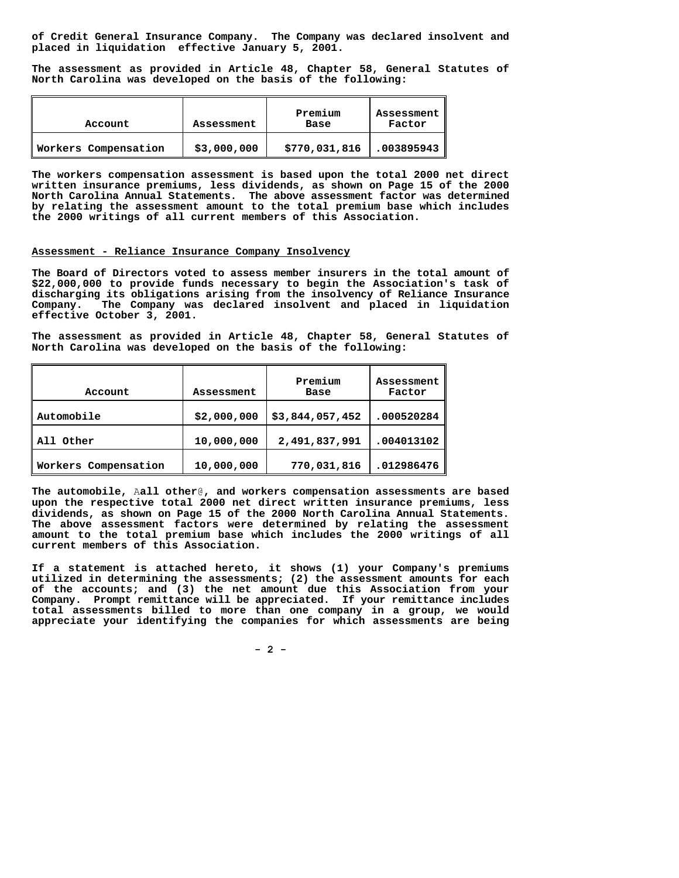**of Credit General Insurance Company. The Company was declared insolvent and placed in liquidation effective January 5, 2001.** 

**The assessment as provided in Article 48, Chapter 58, General Statutes of North Carolina was developed on the basis of the following:** 

| Account              | Assessment  | Premium<br>Base | Assessment<br>Factor |
|----------------------|-------------|-----------------|----------------------|
| Workers Compensation | \$3,000,000 | \$770,031,816   | .003895943           |

**The workers compensation assessment is based upon the total 2000 net direct written insurance premiums, less dividends, as shown on Page 15 of the 2000 North Carolina Annual Statements. The above assessment factor was determined by relating the assessment amount to the total premium base which includes the 2000 writings of all current members of this Association.** 

#### **Assessment - Reliance Insurance Company Insolvency**

**The Board of Directors voted to assess member insurers in the total amount of \$22,000,000 to provide funds necessary to begin the Association's task of discharging its obligations arising from the insolvency of Reliance Insurance Company. The Company was declared insolvent and placed in liquidation effective October 3, 2001.** 

**The assessment as provided in Article 48, Chapter 58, General Statutes of North Carolina was developed on the basis of the following:** 

| Account              | Assessment  | Premium<br>Base | Assessment<br>Factor |
|----------------------|-------------|-----------------|----------------------|
| Automobile           | \$2,000,000 | \$3,844,057,452 | .000520284           |
| Other                | 10,000,000  | 2,491,837,991   | .004013102           |
| Workers Compensation | 10,000,000  | 770,031,816     | .012986476           |

**The automobile,** A**all other**@**, and workers compensation assessments are based upon the respective total 2000 net direct written insurance premiums, less dividends, as shown on Page 15 of the 2000 North Carolina Annual Statements. The above assessment factors were determined by relating the assessment amount to the total premium base which includes the 2000 writings of all current members of this Association.**

**If a statement is attached hereto, it shows (1) your Company's premiums utilized in determining the assessments; (2) the assessment amounts for each of the accounts; and (3) the net amount due this Association from your Company. Prompt remittance will be appreciated. If your remittance includes total assessments billed to more than one company in a group, we would appreciate your identifying the companies for which assessments are being** 

 **- 2 -**